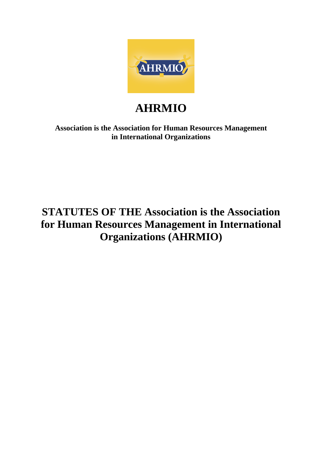

# **AHRMIO**

**Association is the Association for Human Resources Management in International Organizations**

# **STATUTES OF THE Association is the Association for Human Resources Management in International Organizations (AHRMIO)**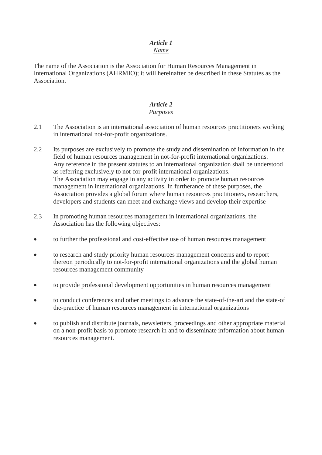#### *Article 1 Name*

The name of the Association is the Association for Human Resources Management in International Organizations (AHRMIO); it will hereinafter be described in these Statutes as the Association.

# *Article 2*

#### *Purposes*

- 2.1 The Association is an international association of human resources practitioners working in international not-for-profit organizations.
- 2.2 Its purposes are exclusively to promote the study and dissemination of information in the field of human resources management in not-for-profit international organizations. Any reference in the present statutes to an international organization shall be understood as referring exclusively to not-for-profit international organizations. The Association may engage in any activity in order to promote human resources management in international organizations. In furtherance of these purposes, the Association provides a global forum where human resources practitioners, researchers, developers and students can meet and exchange views and develop their expertise
- 2.3 In promoting human resources management in international organizations, the Association has the following objectives:
- to further the professional and cost-effective use of human resources management
- to research and study priority human resources management concerns and to report thereon periodically to not-for-profit international organizations and the global human resources management community
- to provide professional development opportunities in human resources management
- to conduct conferences and other meetings to advance the state-of-the-art and the state-of the-practice of human resources management in international organizations
- to publish and distribute journals, newsletters, proceedings and other appropriate material on a non-profit basis to promote research in and to disseminate information about human resources management.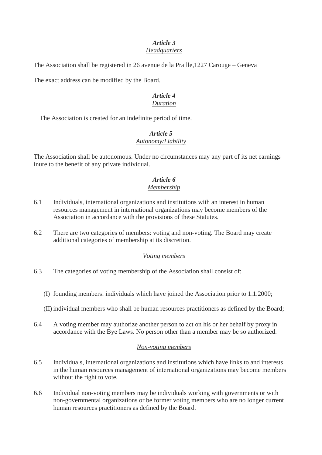#### *Article 3 Headquarters*

The Association shall be registered in 26 avenue de la Praille,1227 Carouge – Geneva

The exact address can be modified by the Board.

#### *Article 4 Duration*

The Association is created for an indefinite period of time.

#### *Article 5 Autonomy/Liability*

The Association shall be autonomous. Under no circumstances may any part of its net earnings inure to the benefit of any private individual.

#### *Article 6 Membership*

- 6.1 Individuals, international organizations and institutions with an interest in human resources management in international organizations may become members of the Association in accordance with the provisions of these Statutes.
- 6.2 There are two categories of members: voting and non-voting. The Board may create additional categories of membership at its discretion.

#### *Voting members*

- 6.3 The categories of voting membership of the Association shall consist of:
	- (I) founding members: individuals which have joined the Association prior to 1.1.2000;
	- (II) individual members who shall be human resources practitioners as defined by the Board;
- 6.4 A voting member may authorize another person to act on his or her behalf by proxy in accordance with the Bye Laws. No person other than a member may be so authorized.

#### *Non-voting members*

- 6.5 Individuals, international organizations and institutions which have links to and interests in the human resources management of international organizations may become members without the right to vote.
- 6.6 Individual non-voting members may be individuals working with governments or with non-governmental organizations or be former voting members who are no longer current human resources practitioners as defined by the Board.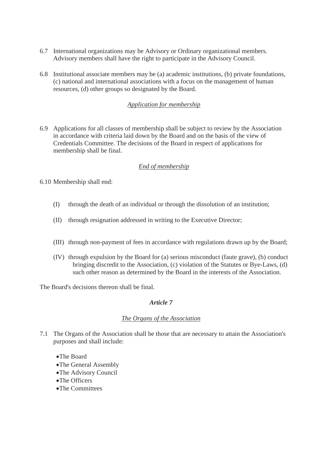- 6.7 International organizations may be Advisory or Ordinary organizational members. Advisory members shall have the right to participate in the Advisory Council.
- 6.8 Institutional associate members may be (a) academic institutions, (b) private foundations, (c) national and international associations with a focus on the management of human resources, (d) other groups so designated by the Board.

#### *Application for membership*

6.9 Applications for all classes of membership shall be subject to review by the Association in accordance with criteria laid down by the Board and on the basis of the view of Credentials Committee. The decisions of the Board in respect of applications for membership shall be final.

#### *End of membership*

6.10 Membership shall end:

- (I) through the death of an individual or through the dissolution of an institution;
- (II) through resignation addressed in writing to the Executive Director;
- (III) through non-payment of fees in accordance with regulations drawn up by the Board;
- (IV) through expulsion by the Board for (a) serious misconduct (faute grave), (b) conduct bringing discredit to the Association, (c) violation of the Statutes or Bye-Laws, (d) such other reason as determined by the Board in the interests of the Association.

The Board's decisions thereon shall be final.

#### *Article 7*

#### *The Organs of the Association*

- 7.1 The Organs of the Association shall be those that are necessary to attain the Association's purposes and shall include:
	- •The Board
	- •The General Assembly
	- •The Advisory Council
	- •The Officers
	- •The Committees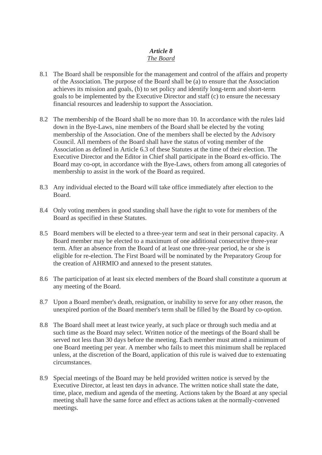# *Article 8 The Board*

- 8.1 The Board shall be responsible for the management and control of the affairs and property of the Association. The purpose of the Board shall be (a) to ensure that the Association achieves its mission and goals, (b) to set policy and identify long-term and short-term goals to be implemented by the Executive Director and staff (c) to ensure the necessary financial resources and leadership to support the Association.
- 8.2 The membership of the Board shall be no more than 10. In accordance with the rules laid down in the Bye-Laws, nine members of the Board shall be elected by the voting membership of the Association. One of the members shall be elected by the Advisory Council. All members of the Board shall have the status of voting member of the Association as defined in Article 6.3 of these Statutes at the time of their election. The Executive Director and the Editor in Chief shall participate in the Board ex-officio. The Board may co-opt, in accordance with the Bye-Laws, others from among all categories of membership to assist in the work of the Board as required.
- 8.3 Any individual elected to the Board will take office immediately after election to the Board.
- 8.4 Only voting members in good standing shall have the right to vote for members of the Board as specified in these Statutes.
- 8.5 Board members will be elected to a three-year term and seat in their personal capacity. A Board member may be elected to a maximum of one additional consecutive three-year term. After an absence from the Board of at least one three-year period, he or she is eligible for re-election. The First Board will be nominated by the Preparatory Group for the creation of AHRMIO and annexed to the present statutes.
- 8.6 The participation of at least six elected members of the Board shall constitute a quorum at any meeting of the Board.
- 8.7 Upon a Board member's death, resignation, or inability to serve for any other reason, the unexpired portion of the Board member's term shall be filled by the Board by co-option.
- 8.8 The Board shall meet at least twice yearly, at such place or through such media and at such time as the Board may select. Written notice of the meetings of the Board shall be served not less than 30 days before the meeting. Each member must attend a minimum of one Board meeting per year. A member who fails to meet this minimum shall be replaced unless, at the discretion of the Board, application of this rule is waived due to extenuating circumstances.
- 8.9 Special meetings of the Board may be held provided written notice is served by the Executive Director, at least ten days in advance. The written notice shall state the date, time, place, medium and agenda of the meeting. Actions taken by the Board at any special meeting shall have the same force and effect as actions taken at the normally-convened meetings.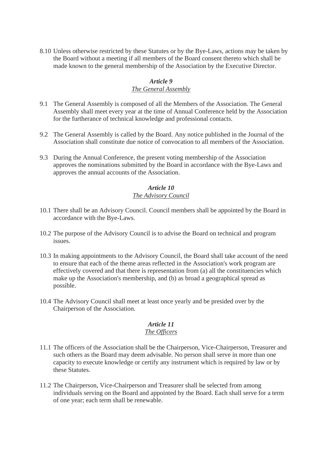8.10 Unless otherwise restricted by these Statutes or by the Bye-Laws, actions may be taken by the Board without a meeting if all members of the Board consent thereto which shall be made known to the general membership of the Association by the Executive Director.

# *Article 9*

### *The General Assembly*

- 9.1 The General Assembly is composed of all the Members of the Association. The General Assembly shall meet every year at the time of Annual Conference held by the Association for the furtherance of technical knowledge and professional contacts.
- 9.2 The General Assembly is called by the Board. Any notice published in the Journal of the Association shall constitute due notice of convocation to all members of the Association.
- 9.3 During the Annual Conference, the present voting membership of the Association approves the nominations submitted by the Board in accordance with the Bye-Laws and approves the annual accounts of the Association.

#### *Article 10 The Advisory Council*

- 10.1 There shall be an Advisory Council. Council members shall be appointed by the Board in accordance with the Bye-Laws.
- 10.2 The purpose of the Advisory Council is to advise the Board on technical and program issues.
- 10.3 In making appointments to the Advisory Council, the Board shall take account of the need to ensure that each of the theme areas reflected in the Association's work program are effectively covered and that there is representation from (a) all the constituencies which make up the Association's membership, and (b) as broad a geographical spread as possible.
- 10.4 The Advisory Council shall meet at least once yearly and be presided over by the Chairperson of the Association.

# *Article 11*

### *The Officers*

- 11.1 The officers of the Association shall be the Chairperson, Vice-Chairperson, Treasurer and such others as the Board may deem advisable. No person shall serve in more than one capacity to execute knowledge or certify any instrument which is required by law or by these Statutes.
- 11.2 The Chairperson, Vice-Chairperson and Treasurer shall be selected from among individuals serving on the Board and appointed by the Board. Each shall serve for a term of one year; each term shall be renewable.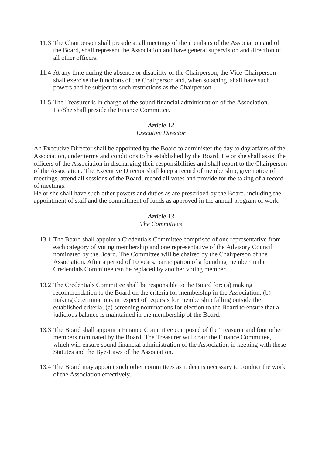- 11.3 The Chairperson shall preside at all meetings of the members of the Association and of the Board, shall represent the Association and have general supervision and direction of all other officers.
- 11.4 At any time during the absence or disability of the Chairperson, the Vice-Chairperson shall exercise the functions of the Chairperson and, when so acting, shall have such powers and be subject to such restrictions as the Chairperson.
- 11.5 The Treasurer is in charge of the sound financial administration of the Association. He/She shall preside the Finance Committee.

# *Article 12*

# *Executive Director*

An Executive Director shall be appointed by the Board to administer the day to day affairs of the Association, under terms and conditions to be established by the Board. He or she shall assist the officers of the Association in discharging their responsibilities and shall report to the Chairperson of the Association. The Executive Director shall keep a record of membership, give notice of meetings, attend all sessions of the Board, record all votes and provide for the taking of a record of meetings.

He or she shall have such other powers and duties as are prescribed by the Board, including the appointment of staff and the commitment of funds as approved in the annual program of work.

### *Article 13 The Committees*

- 13.1 The Board shall appoint a Credentials Committee comprised of one representative from each category of voting membership and one representative of the Advisory Council nominated by the Board. The Committee will be chaired by the Chairperson of the Association. After a period of 10 years, participation of a founding member in the Credentials Committee can be replaced by another voting member.
- 13.2 The Credentials Committee shall be responsible to the Board for: (a) making recommendation to the Board on the criteria for membership in the Association; (b) making determinations in respect of requests for membership falling outside the established criteria; (c) screening nominations for election to the Board to ensure that a judicious balance is maintained in the membership of the Board.
- 13.3 The Board shall appoint a Finance Committee composed of the Treasurer and four other members nominated by the Board. The Treasurer will chair the Finance Committee, which will ensure sound financial administration of the Association in keeping with these Statutes and the Bye-Laws of the Association.
- 13.4 The Board may appoint such other committees as it deems necessary to conduct the work of the Association effectively.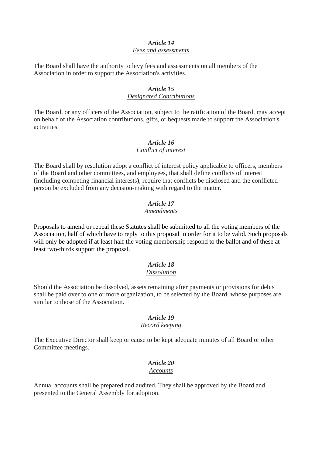#### *Article 14 Fees and assessments*

The Board shall have the authority to levy fees and assessments on all members of the Association in order to support the Association's activities.

#### *Article 15 Designated Contributions*

The Board, or any officers of the Association, subject to the ratification of the Board, may accept on behalf of the Association contributions, gifts, or bequests made to support the Association's activities.

#### *Article 16 Conflict of interest*

The Board shall by resolution adopt a conflict of interest policy applicable to officers, members of the Board and other committees, and employees, that shall define conflicts of interest (including competing financial interests), require that conflicts be disclosed and the conflicted person be excluded from any decision-making with regard to the matter.

#### *Article 17 Amendments*

Proposals to amend or repeal these Statutes shall be submitted to all the voting members of the Association, half of which have to reply to this proposal in order for it to be valid. Such proposals will only be adopted if at least half the voting membership respond to the ballot and of these at least two-thirds support the proposal.

# *Article 18*

# *Dissolution*

Should the Association be dissolved, assets remaining after payments or provisions for debts shall be paid over to one or more organization, to be selected by the Board, whose purposes are similar to those of the Association.

# *Article 19*

# *Record keeping*

The Executive Director shall keep or cause to be kept adequate minutes of all Board or other Committee meetings.

# *Article 20*

#### *Accounts*

Annual accounts shall be prepared and audited. They shall be approved by the Board and presented to the General Assembly for adoption.